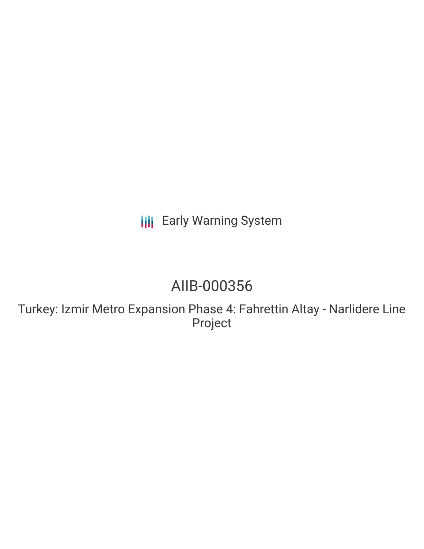# **III** Early Warning System

# AIIB-000356

Turkey: Izmir Metro Expansion Phase 4: Fahrettin Altay - Narlidere Line Project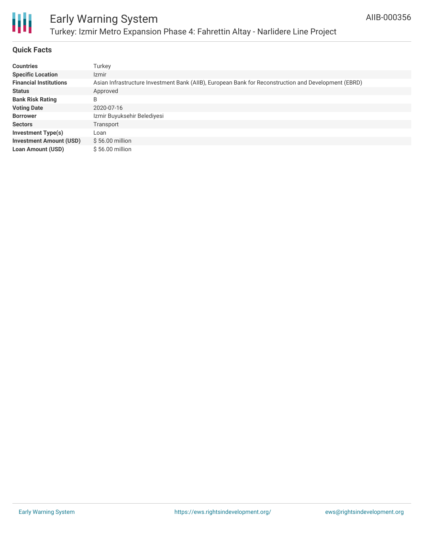

#### **Quick Facts**

| <b>Countries</b>               | Turkey                                                                                               |
|--------------------------------|------------------------------------------------------------------------------------------------------|
| <b>Specific Location</b>       | Izmir                                                                                                |
| <b>Financial Institutions</b>  | Asian Infrastructure Investment Bank (AIIB), European Bank for Reconstruction and Development (EBRD) |
| <b>Status</b>                  | Approved                                                                                             |
| <b>Bank Risk Rating</b>        | B                                                                                                    |
| <b>Voting Date</b>             | 2020-07-16                                                                                           |
| <b>Borrower</b>                | Izmir Buyuksehir Belediyesi                                                                          |
| <b>Sectors</b>                 | Transport                                                                                            |
| Investment Type(s)             | Loan                                                                                                 |
| <b>Investment Amount (USD)</b> | $$56.00$ million                                                                                     |
| <b>Loan Amount (USD)</b>       | $$56.00$ million                                                                                     |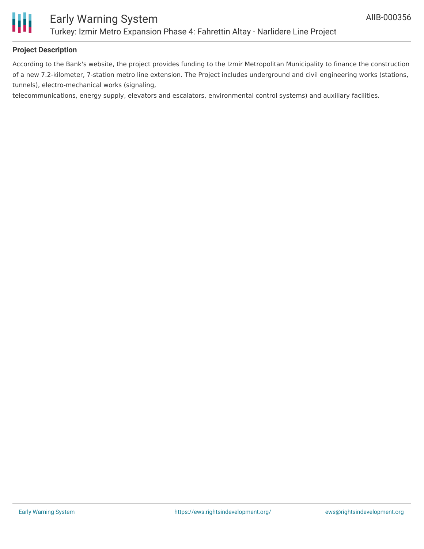

#### **Project Description**

According to the Bank's website, the project provides funding to the Izmir Metropolitan Municipality to finance the construction of a new 7.2-kilometer, 7-station metro line extension. The Project includes underground and civil engineering works (stations, tunnels), electro-mechanical works (signaling,

telecommunications, energy supply, elevators and escalators, environmental control systems) and auxiliary facilities.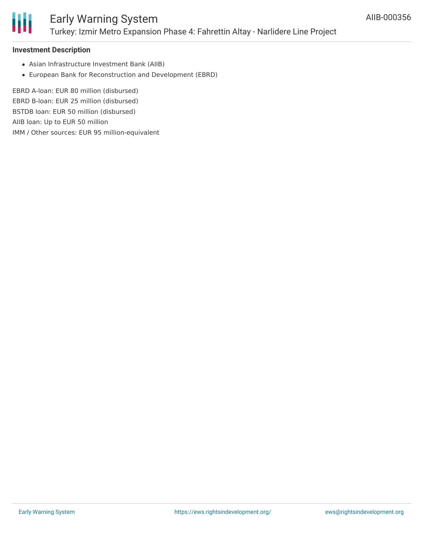

#### **Investment Description**

- Asian Infrastructure Investment Bank (AIIB)
- European Bank for Reconstruction and Development (EBRD)

EBRD A-loan: EUR 80 million (disbursed) EBRD B-loan: EUR 25 million (disbursed) BSTDB loan: EUR 50 million (disbursed) AIIB loan: Up to EUR 50 million IMM / Other sources: EUR 95 million-equivalent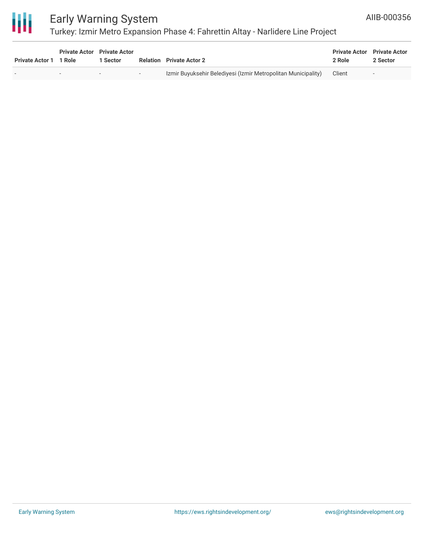

## Early Warning System

### Turkey: Izmir Metro Expansion Phase 4: Fahrettin Altay - Narlidere Line Project

| Private Actor 1 1 Role | <b>Private Actor</b> Private Actor<br>Sector |                                                                    | <b>Relation</b> Private Actor 2                               | <b>Private Actor</b> Private Actor<br>2 Role | 2 Sector |
|------------------------|----------------------------------------------|--------------------------------------------------------------------|---------------------------------------------------------------|----------------------------------------------|----------|
|                        | $\sim$                                       | $\label{eq:2.1} \mathcal{L} = \mathcal{L} \mathcal{L} \mathcal{L}$ | Izmir Buyuksehir Belediyesi (Izmir Metropolitan Municipality) | Client                                       | $\sim$   |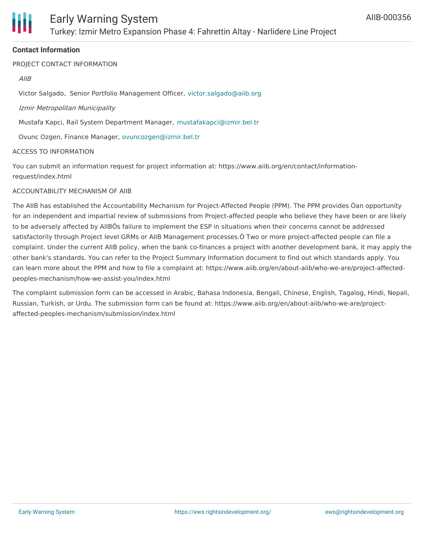

#### **Contact Information**

PROJECT CONTACT INFORMATION

#### AIIB

Victor Salgado, Senior Portfolio Management Officer, [victor.salgado@aiib.org](mailto:victor.salgado@aiib.org)

#### Izmir Metropolitan Municipality

Mustafa Kapci, Rail System Department Manager, [mustafakapci@izmir.bel.tr](mailto:mustafakapci@izmir.bel.tr)

Ovunc Ozgen, Finance Manager, [ovuncozgen@izmir.bel.tr](mailto:ovuncozgen@izmir.bel.tr)

#### ACCESS TO INFORMATION

You can submit an information request for project information at: https://www.aiib.org/en/contact/informationrequest/index.html

#### ACCOUNTABILITY MECHANISM OF AIIB

The AIIB has established the Accountability Mechanism for Project-Affected People (PPM). The PPM provides Òan opportunity for an independent and impartial review of submissions from Project-affected people who believe they have been or are likely to be adversely affected by AIIBÕs failure to implement the ESP in situations when their concerns cannot be addressed satisfactorily through Project level GRMs or AIIB Management processes.Ó Two or more project-affected people can file a complaint. Under the current AIIB policy, when the bank co-finances a project with another development bank, it may apply the other bank's standards. You can refer to the Project Summary Information document to find out which standards apply. You can learn more about the PPM and how to file a complaint at: https://www.aiib.org/en/about-aiib/who-we-are/project-affectedpeoples-mechanism/how-we-assist-you/index.html

The complaint submission form can be accessed in Arabic, Bahasa Indonesia, Bengali, Chinese, English, Tagalog, Hindi, Nepali, Russian, Turkish, or Urdu. The submission form can be found at: https://www.aiib.org/en/about-aiib/who-we-are/projectaffected-peoples-mechanism/submission/index.html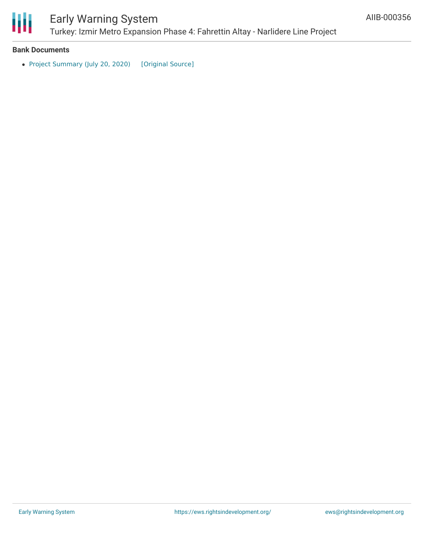

#### **Bank Documents**

• Project [Summary](https://ewsdata.rightsindevelopment.org/files/documents/56/AIIB-000356.pdf) (July 20, 2020) [\[Original](https://www.aiib.org/en/projects/details/2020/approved/_download/Turkey/PSI-P000356-Turkey-Izmir-Metro-4-FAltay-Narlidere-July-20-2020-After-approval.pdf) Source]